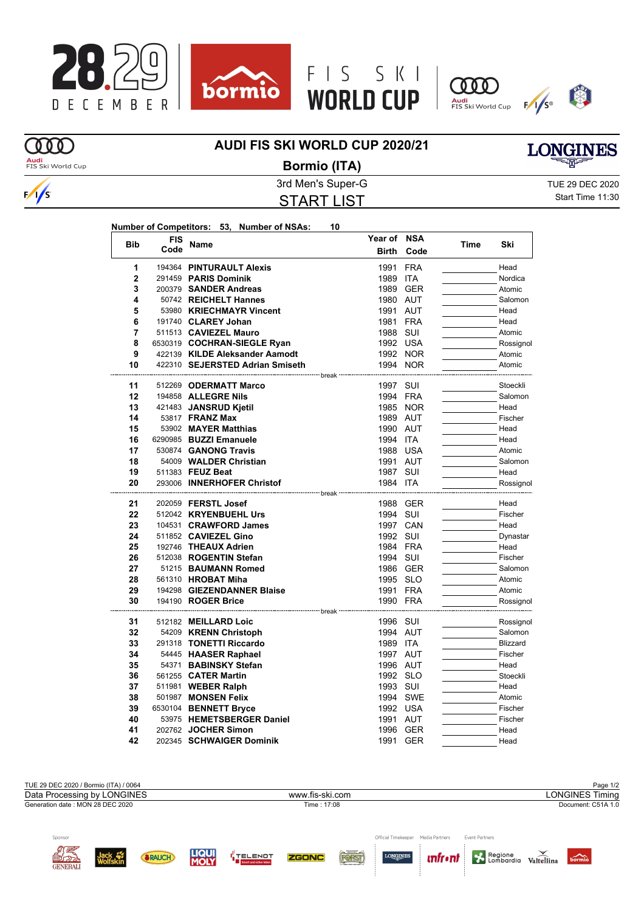







## **OOD Audi**<br>FIS Ski World Cup

 $\frac{1}{s}$ 

## **AUDI FIS SKI WORLD CUP 2020/21**



## **Bormio (ITA)**

START LIST

3rd Men's Super-G TUE 29 DEC 2020 Start Time 11:30

| <b>Bib</b>     | <b>FIS</b> |                                    | Year of  | <b>NSA</b> |      | Ski       |
|----------------|------------|------------------------------------|----------|------------|------|-----------|
|                | Code       | <b>Name</b>                        | Birth    | Code       | Time |           |
| 1              |            | 194364 PINTURAULT Alexis           | 1991     | <b>FRA</b> |      | Head      |
| $\overline{2}$ |            | 291459 PARIS Dominik               | 1989     | ITA        |      | Nordica   |
| 3              |            | 200379 SANDER Andreas              | 1989     | <b>GER</b> |      | Atomic    |
| 4              |            | 50742 REICHELT Hannes              |          | 1980 AUT   |      | Salomon   |
| 5              |            | 53980 KRIECHMAYR Vincent           |          | 1991 AUT   |      | Head      |
| 6              |            | 191740 CLAREY Johan                |          | 1981 FRA   |      | Head      |
| 7              |            | 511513 CAVIEZEL Mauro              | 1988 SUI |            |      | Atomic    |
| 8              |            | 6530319 COCHRAN-SIEGLE Ryan        |          | 1992 USA   |      | Rossignol |
| 9              |            | 422139 KILDE Aleksander Aamodt     |          | 1992 NOR   |      | Atomic    |
| 10             |            | 422310 SEJERSTED Adrian Smiseth    |          | 1994 NOR   |      | Atomic    |
| 11             |            | hreak<br>512269 ODERMATT Marco     | 1997     | SUI        |      | Stoeckli  |
| 12             |            | 194858 <b>ALLEGRE Nils</b>         |          | 1994 FRA   |      | Salomon   |
| 13             |            | 421483 JANSRUD Kjetil              |          | 1985 NOR   |      | Head      |
| 14             |            | 53817 <b>FRANZ Max</b>             |          | 1989 AUT   |      | Fischer   |
| 15             |            | 53902 MAYER Matthias               |          | 1990 AUT   |      | Head      |
| 16             |            | 6290985 BUZZI Emanuele             | 1994 ITA |            |      | Head      |
| 17             |            | 530874 GANONG Travis               |          | 1988 USA   |      | Atomic    |
| 18             |            | 54009 WALDER Christian             | 1991 AUT |            |      | Salomon   |
| 19             |            | 511383 FEUZ Beat                   | 1987 SUI |            |      | Head      |
| 20             |            | 293006 INNERHOFER Christof         | 1984 ITA |            |      | Rossignol |
|                |            | - break                            |          |            |      |           |
| 21             |            | 202059 FERSTL Josef                |          | 1988 GER   |      | Head      |
| 22             |            | 512042 KRYENBUEHL Urs              | 1994     | SUI        |      | Fischer   |
| 23             |            | 104531 CRAWFORD James              |          | 1997 CAN   |      | Head      |
| 24             |            | 511852 CAVIEZEL Gino               | 1992 SUI |            |      | Dynastar  |
| 25             |            | 192746 THEAUX Adrien               |          | 1984 FRA   |      | Head      |
| 26             |            | 512038 ROGENTIN Stefan             | 1994 SUI |            |      | Fischer   |
| 27             |            | 51215 BAUMANN Romed                |          | 1986 GER   |      | Salomon   |
| 28             |            | 561310 HROBAT Miha                 |          | 1995 SLO   |      | Atomic    |
| 29             |            | 194298 GIEZENDANNER Blaise         |          | 1991 FRA   |      | Atomic    |
| 30             |            | 194190 <b>ROGER Brice</b><br>break | 1990 FRA |            |      | Rossignol |
| 31             |            | 512182 MEILLARD Loic               | 1996 SUI |            |      | Rossignol |
| 32             |            | 54209 KRENN Christoph              |          | 1994 AUT   |      | Salomon   |
| 33             |            | 291318 TONETTI Riccardo            | 1989 ITA |            |      | Blizzard  |
| 34             |            | 54445 HAASER Raphael               |          | 1997 AUT   |      | Fischer   |
| 35             |            | 54371 BABINSKY Stefan              |          | 1996 AUT   |      | Head      |
| 36             |            | 561255 CATER Martin                |          | 1992 SLO   |      | Stoeckli  |
| 37             |            | 511981 WEBER Ralph                 | 1993 SUI |            |      | Head      |
|                |            | 501987 MONSEN Felix                |          | 1994 SWE   |      | Atomic    |
| 38             |            | 6530104 BENNETT Bryce              |          | 1992 USA   |      | Fischer   |
| 39             |            |                                    |          |            |      |           |
| 40             |            | 53975 HEMETSBERGER Daniel          | 1991     | AUT        |      | Fischer   |
| 41             |            | 202762 JOCHER Simon                | 1996     | <b>GER</b> |      | Head      |